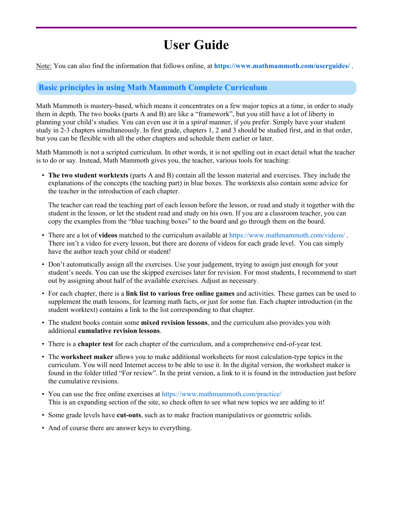# **User Guide**

Note: You can also find the information that follows online, at **https://www.mathmammoth.com/userguides/** .

# **Basic principles in using Math Mammoth Complete Curriculum**

Math Mammoth is mastery-based, which means it concentrates on a few major topics at a time, in order to study them in depth. The two books (parts A and B) are like a "framework", but you still have a lot of liberty in planning your child's studies. You can even use it in a *spiral* manner, if you prefer. Simply have your student study in 2-3 chapters simultaneously. In first grade, chapters 1, 2 and 3 should be studied first, and in that order, but you can be flexible with all the other chapters and schedule them earlier or later.

Math Mammoth is not a scripted curriculum. In other words, it is not spelling out in exact detail what the teacher is to do or say. Instead, Math Mammoth gives you, the teacher, various tools for teaching:

• **The two student worktexts** (parts A and B) contain all the lesson material and exercises. They include the explanations of the concepts (the teaching part) in blue boxes. The worktexts also contain some advice for the teacher in the introduction of each chapter.

The teacher can read the teaching part of each lesson before the lesson, or read and study it together with the student in the lesson, or let the student read and study on his own. If you are a classroom teacher, you can copy the examples from the "blue teaching boxes" to the board and go through them on the board.

- There are a lot of **videos** matched to the curriculum available at https://www.mathmammoth.com/videos/ . There isn't a video for every lesson, but there are dozens of videos for each grade level. You can simply have the author teach your child or student!
- Don't automatically assign all the exercises. Use your judgement, trying to assign just enough for your student's needs. You can use the skipped exercises later for revision. For most students, I recommend to start out by assigning about half of the available exercises. Adjust as necessary.
- For each chapter, there is a **link list to various free online games** and activities. These games can be used to supplement the math lessons, for learning math facts, or just for some fun. Each chapter introduction (in the student worktext) contains a link to the list corresponding to that chapter.
- The student books contain some **mixed revision lessons**, and the curriculum also provides you with additional **cumulative revision lessons**.
- There is a **chapter test** for each chapter of the curriculum, and a comprehensive end-of-year test.
- The **worksheet maker** allows you to make additional worksheets for most calculation-type topics in the curriculum. You will need Internet access to be able to use it. In the digital version, the worksheet maker is found in the folder titled "For review". In the print version, a link to it is found in the introduction just before the cumulative revisions.
- You can use the free online exercises at https://www.mathmammoth.com/practice/ This is an expanding section of the site, so check often to see what new topics we are adding to it!
- Some grade levels have **cut-outs**, such as to make fraction manipulatives or geometric solids.
- And of course there are answer keys to everything.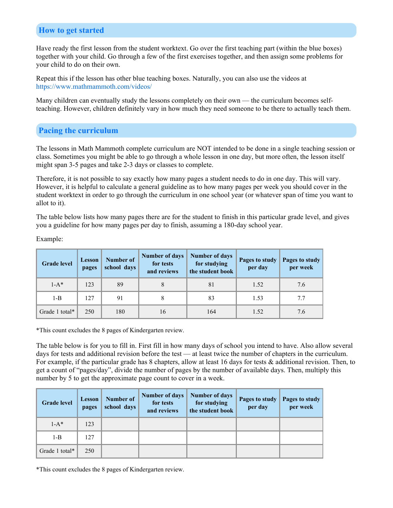# **How to get started**

Have ready the first lesson from the student worktext. Go over the first teaching part (within the blue boxes) together with your child. Go through a few of the first exercises together, and then assign some problems for your child to do on their own.

Repeat this if the lesson has other blue teaching boxes. Naturally, you can also use the videos at https://www.mathmammoth.com/videos/

Many children can eventually study the lessons completely on their own — the curriculum becomes selfteaching. However, children definitely vary in how much they need someone to be there to actually teach them.

# **Pacing the curriculum**

The lessons in Math Mammoth complete curriculum are NOT intended to be done in a single teaching session or class. Sometimes you might be able to go through a whole lesson in one day, but more often, the lesson itself might span 3-5 pages and take 2-3 days or classes to complete.

Therefore, it is not possible to say exactly how many pages a student needs to do in one day. This will vary. However, it is helpful to calculate a general guideline as to how many pages per week you should cover in the student worktext in order to go through the curriculum in one school year (or whatever span of time you want to allot to it).

The table below lists how many pages there are for the student to finish in this particular grade level, and gives you a guideline for how many pages per day to finish, assuming a 180-day school year.

Example:

| <b>Grade level</b> | <b>Lesson</b><br>pages | <b>Number of</b><br>school days | <b>Number of days</b><br>for tests<br>and reviews | <b>Number of days</b><br>for studying<br>the student book | Pages to study<br>per day | Pages to study<br>per week |
|--------------------|------------------------|---------------------------------|---------------------------------------------------|-----------------------------------------------------------|---------------------------|----------------------------|
| $1-A^*$            | 123                    | 89                              | 8                                                 | 81                                                        | 1.52                      | 7.6                        |
| $1 - B$            | 127                    | 91                              |                                                   | 83                                                        | 1.53                      | 7.7                        |
| Grade 1 total*     | 250                    | 180                             | 16                                                | 164                                                       | 1.52                      | 7.6                        |

\*This count excludes the 8 pages of Kindergarten review.

The table below is for you to fill in. First fill in how many days of school you intend to have. Also allow several days for tests and additional revision before the test — at least twice the number of chapters in the curriculum. For example, if the particular grade has 8 chapters, allow at least 16 days for tests & additional revision. Then, to get a count of "pages/day", divide the number of pages by the number of available days. Then, multiply this number by 5 to get the approximate page count to cover in a week.

| <b>Grade level</b> | <b>Lesson</b><br>pages | Number of<br>school days | for tests<br>and reviews | Number of days   Number of days<br>for studying<br>the student book | Pages to study $\ $<br>per day | Pages to study<br>per week |
|--------------------|------------------------|--------------------------|--------------------------|---------------------------------------------------------------------|--------------------------------|----------------------------|
| $1-A^*$            | 123                    |                          |                          |                                                                     |                                |                            |
| $1 - B$            | 127                    |                          |                          |                                                                     |                                |                            |
| Grade 1 total*     | 250                    |                          |                          |                                                                     |                                |                            |

\*This count excludes the 8 pages of Kindergarten review.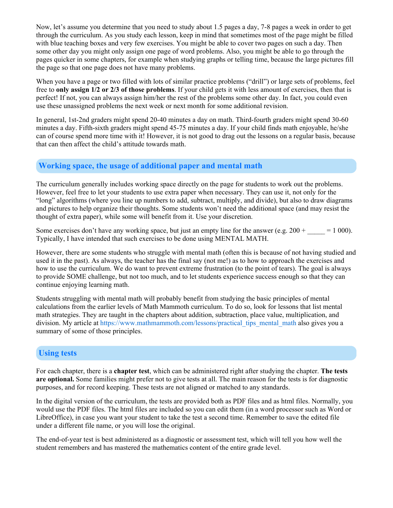Now, let's assume you determine that you need to study about 1.5 pages a day, 7-8 pages a week in order to get through the curriculum. As you study each lesson, keep in mind that sometimes most of the page might be filled with blue teaching boxes and very few exercises. You might be able to cover two pages on such a day. Then some other day you might only assign one page of word problems. Also, you might be able to go through the pages quicker in some chapters, for example when studying graphs or telling time, because the large pictures fill the page so that one page does not have many problems.

When you have a page or two filled with lots of similar practice problems ("drill") or large sets of problems, feel free to **only assign 1/2 or 2/3 of those problems**. If your child gets it with less amount of exercises, then that is perfect! If not, you can always assign him/her the rest of the problems some other day. In fact, you could even use these unassigned problems the next week or next month for some additional revision.

In general, 1st-2nd graders might spend 20-40 minutes a day on math. Third-fourth graders might spend 30-60 minutes a day. Fifth-sixth graders might spend 45-75 minutes a day. If your child finds math enjoyable, he/she can of course spend more time with it! However, it is not good to drag out the lessons on a regular basis, because that can then affect the child's attitude towards math.

# **Working space, the usage of additional paper and mental math**

The curriculum generally includes working space directly on the page for students to work out the problems. However, feel free to let your students to use extra paper when necessary. They can use it, not only for the "long" algorithms (where you line up numbers to add, subtract, multiply, and divide), but also to draw diagrams and pictures to help organize their thoughts. Some students won't need the additional space (and may resist the thought of extra paper), while some will benefit from it. Use your discretion.

Some exercises don't have any working space, but just an empty line for the answer (e.g.  $200 + 1000$ ). Typically, I have intended that such exercises to be done using MENTAL MATH.

However, there are some students who struggle with mental math (often this is because of not having studied and used it in the past). As always, the teacher has the final say (not me!) as to how to approach the exercises and how to use the curriculum. We do want to prevent extreme frustration (to the point of tears). The goal is always to provide SOME challenge, but not too much, and to let students experience success enough so that they can continue enjoying learning math.

Students struggling with mental math will probably benefit from studying the basic principles of mental calculations from the earlier levels of Math Mammoth curriculum. To do so, look for lessons that list mental math strategies. They are taught in the chapters about addition, subtraction, place value, multiplication, and division. My article at https://www.mathmammoth.com/lessons/practical\_tips\_mental\_math also gives you a summary of some of those principles.

# **Using tests**

For each chapter, there is a **chapter test**, which can be administered right after studying the chapter. **The tests are optional.** Some families might prefer not to give tests at all. The main reason for the tests is for diagnostic purposes, and for record keeping. These tests are not aligned or matched to any standards.

In the digital version of the curriculum, the tests are provided both as PDF files and as html files. Normally, you would use the PDF files. The html files are included so you can edit them (in a word processor such as Word or LibreOffice), in case you want your student to take the test a second time. Remember to save the edited file under a different file name, or you will lose the original.

The end-of-year test is best administered as a diagnostic or assessment test, which will tell you how well the student remembers and has mastered the mathematics content of the entire grade level.